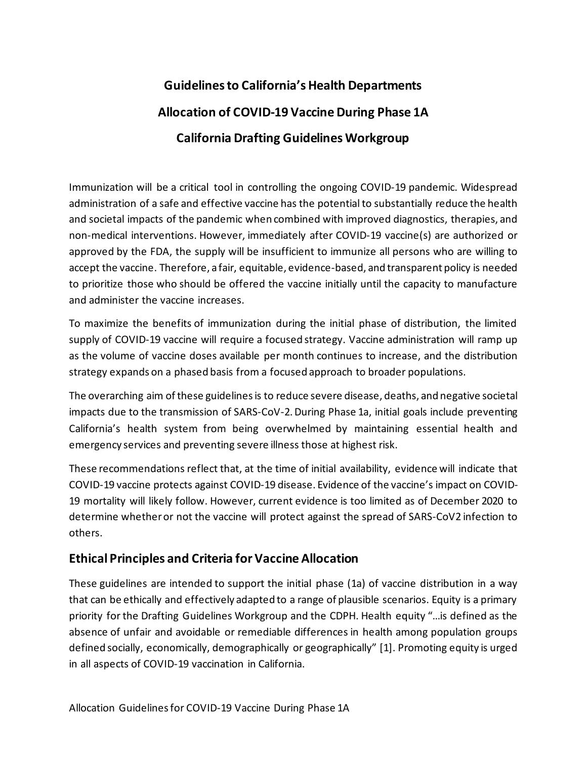# **Guidelinesto California's Health Departments Allocation of COVID-19 Vaccine During Phase 1A California Drafting Guidelines Workgroup**

Immunization will be a critical tool in controlling the ongoing COVID-19 pandemic. Widespread administration of a safe and effective vaccine has the potential to substantially reduce the health and societal impacts of the pandemic when combined with improved diagnostics, therapies, and non-medical interventions. However, immediately after COVID-19 vaccine(s) are authorized or approved by the FDA, the supply will be insufficient to immunize all persons who are willing to accept the vaccine. Therefore, a fair, equitable, evidence-based, and transparent policy is needed to prioritize those who should be offered the vaccine initially until the capacity to manufacture and administer the vaccine increases.

To maximize the benefits of immunization during the initial phase of distribution, the limited supply of COVID-19 vaccine will require a focused strategy. Vaccine administration will ramp up as the volume of vaccine doses available per month continues to increase, and the distribution strategy expands on a phased basis from a focused approach to broader populations.

The overarching aim of these guidelinesis to reduce severe disease, deaths, and negative societal impacts due to the transmission of SARS-CoV-2. During Phase 1a, initial goals include preventing California's health system from being overwhelmed by maintaining essential health and emergency services and preventing severe illness those at highest risk.

These recommendations reflect that, at the time of initial availability, evidence will indicate that COVID-19 vaccine protects against COVID-19 disease. Evidence of the vaccine's impact on COVID-19 mortality will likely follow. However, current evidence is too limited as of December 2020 to determine whether or not the vaccine will protect against the spread of SARS-CoV2 infection to others.

# **Ethical Principles and Criteria for Vaccine Allocation**

These guidelines are intended to support the initial phase (1a) of vaccine distribution in a way that can be ethically and effectively adapted to a range of plausible scenarios. Equity is a primary priority for the Drafting Guidelines Workgroup and the CDPH. Health equity "…is defined as the absence of unfair and avoidable or remediable differences in health among population groups defined socially, economically, demographically or geographically" [1]. Promoting equity is urged in all aspects of COVID-19 vaccination in California.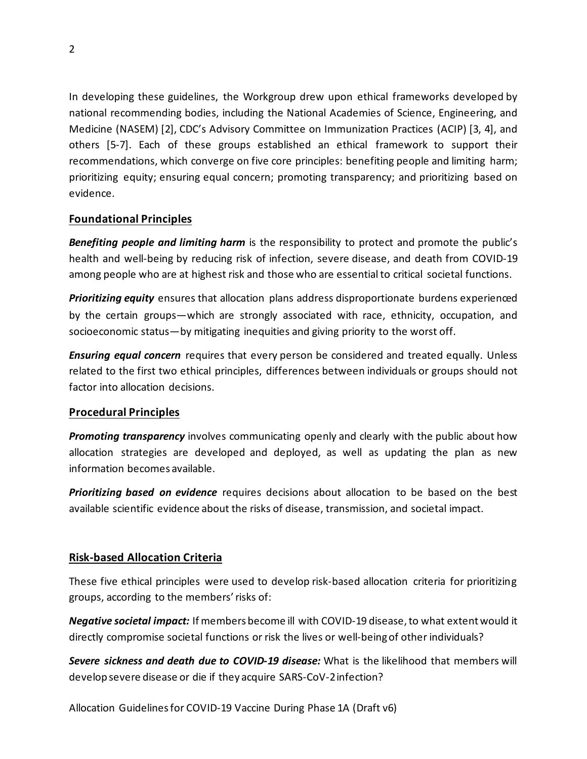In developing these guidelines, the Workgroup drew upon ethical frameworks developed by national recommending bodies, including the National Academies of Science, Engineering, and Medicine (NASEM) [2], CDC's Advisory Committee on Immunization Practices (ACIP) [3, 4], and others [5-7]. Each of these groups established an ethical framework to support their recommendations, which converge on five core principles: benefiting people and limiting harm; prioritizing equity; ensuring equal concern; promoting transparency; and prioritizing based on evidence.

## **Foundational Principles**

*Benefiting people and limiting harm* is the responsibility to protect and promote the public's health and well-being by reducing risk of infection, severe disease, and death from COVID-19 among people who are at highest risk and those who are essential to critical societal functions.

*Prioritizing equity* ensures that allocation plans address disproportionate burdens experienced by the certain groups—which are strongly associated with race, ethnicity, occupation, and socioeconomic status—by mitigating inequities and giving priority to the worst off.

*Ensuring equal concern* requires that every person be considered and treated equally. Unless related to the first two ethical principles, differences between individuals or groups should not factor into allocation decisions.

## **Procedural Principles**

*Promoting transparency* involves communicating openly and clearly with the public about how allocation strategies are developed and deployed, as well as updating the plan as new information becomes available.

*Prioritizing based on evidence* requires decisions about allocation to be based on the best available scientific evidence about the risks of disease, transmission, and societal impact.

# **Risk-based Allocation Criteria**

These five ethical principles were used to develop risk-based allocation criteria for prioritizing groups, according to the members' risks of:

*Negative societal impact:* If members become ill with COVID-19 disease, to what extent would it directly compromise societal functions or risk the lives or well-being of other individuals?

*Severe sickness and death due to COVID-19 disease:* What is the likelihood that members will develop severe disease or die if they acquire SARS-CoV-2 infection?

Allocation Guidelines for COVID-19 Vaccine During Phase 1A (Draft v6)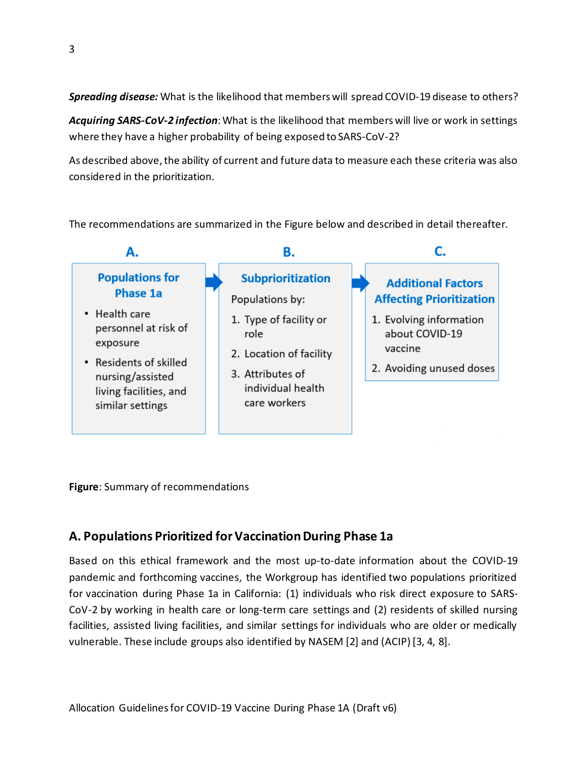*Spreading disease:* What is the likelihood that members will spread COVID-19 disease to others?

*Acquiring SARS-CoV-2 infection*: What is the likelihood that members will live or work in settings where they have a higher probability of being exposed to SARS-CoV-2?

As described above, the ability of current and future data to measure each these criteria was also considered in the prioritization.

The recommendations are summarized in the Figure below and described in detail thereafter.



**Figure**: Summary of recommendations

# **A. Populations Prioritized for Vaccination During Phase 1a**

Based on this ethical framework and the most up-to-date information about the COVID-19 pandemic and forthcoming vaccines, the Workgroup has identified two populations prioritized for vaccination during Phase 1a in California: (1) individuals who risk direct exposure to SARS-CoV-2 by working in health care or long-term care settings and (2) residents of skilled nursing facilities, assisted living facilities, and similar settings for individuals who are older or medically vulnerable. These include groups also identified by NASEM [2] and (ACIP) [3, 4, 8].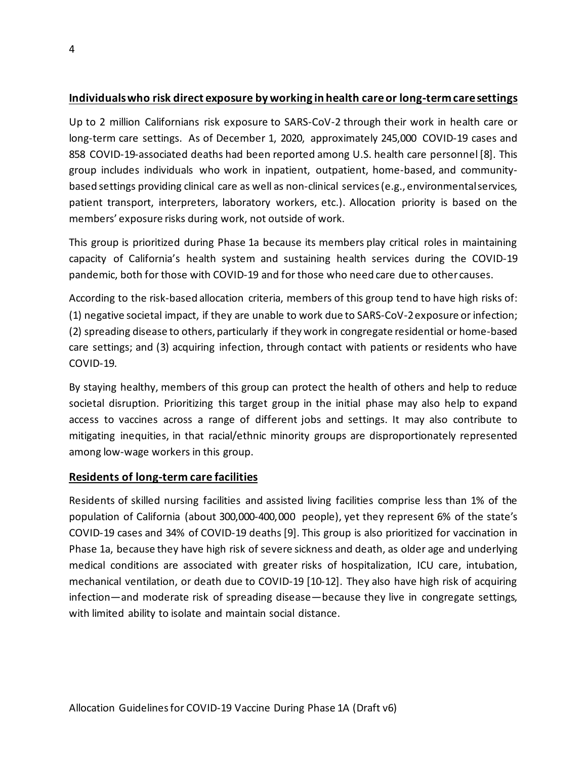## **Individuals who risk direct exposure by working in health care or long-term care settings**

Up to 2 million Californians risk exposure to SARS-CoV-2 through their work in health care or long-term care settings. As of December 1, 2020, approximately 245,000 COVID-19 cases and 858 COVID-19-associated deaths had been reported among U.S. health care personnel [8]. This group includes individuals who work in inpatient, outpatient, home-based, and communitybased settings providing clinical care as well as non-clinical services(e.g., environmental services, patient transport, interpreters, laboratory workers, etc.). Allocation priority is based on the members' exposure risks during work, not outside of work.

This group is prioritized during Phase 1a because its members play critical roles in maintaining capacity of California's health system and sustaining health services during the COVID-19 pandemic, both for those with COVID-19 and for those who need care due to other causes.

According to the risk-based allocation criteria, members of this group tend to have high risks of: (1) negative societal impact, if they are unable to work due to SARS-CoV-2 exposure or infection; (2) spreading disease to others, particularly if they work in congregate residential or home-based care settings; and (3) acquiring infection, through contact with patients or residents who have COVID-19.

By staying healthy, members of this group can protect the health of others and help to reduce societal disruption. Prioritizing this target group in the initial phase may also help to expand access to vaccines across a range of different jobs and settings. It may also contribute to mitigating inequities, in that racial/ethnic minority groups are disproportionately represented among low-wage workers in this group.

#### **Residents of long-term care facilities**

Residents of skilled nursing facilities and assisted living facilities comprise less than 1% of the population of California (about 300,000-400,000 people), yet they represent 6% of the state's COVID-19 cases and 34% of COVID-19 deaths [9]. This group is also prioritized for vaccination in Phase 1a, because they have high risk of severe sickness and death, as older age and underlying medical conditions are associated with greater risks of hospitalization, ICU care, intubation, mechanical ventilation, or death due to COVID-19 [10-12]. They also have high risk of acquiring infection—and moderate risk of spreading disease—because they live in congregate settings, with limited ability to isolate and maintain social distance.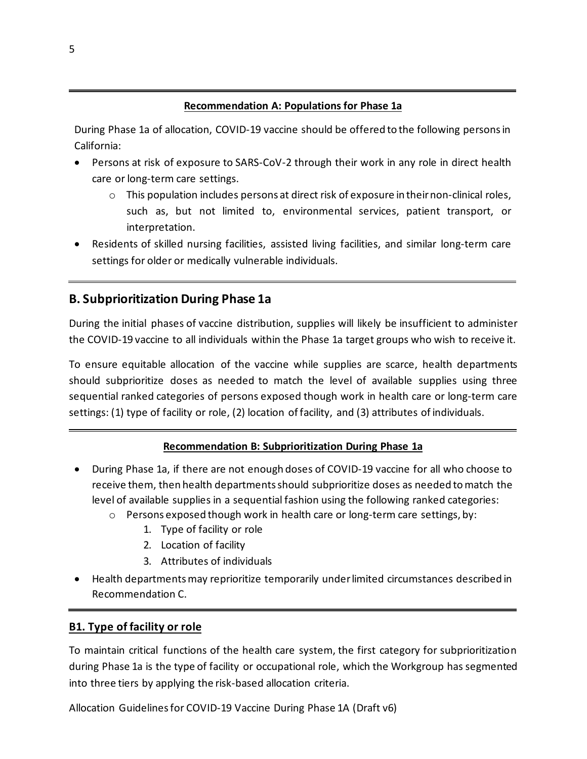#### **Recommendation A: Populations for Phase 1a**

During Phase 1a of allocation, COVID-19 vaccine should be offered to the following persons in California:

- Persons at risk of exposure to SARS-CoV-2 through their work in any role in direct health care or long-term care settings.
	- $\circ$  This population includes persons at direct risk of exposure in their non-clinical roles, such as, but not limited to, environmental services, patient transport, or interpretation.
- Residents of skilled nursing facilities, assisted living facilities, and similar long-term care settings for older or medically vulnerable individuals.

# **B. Subprioritization During Phase 1a**

During the initial phases of vaccine distribution, supplies will likely be insufficient to administer the COVID-19 vaccine to all individuals within the Phase 1a target groups who wish to receive it.

To ensure equitable allocation of the vaccine while supplies are scarce, health departments should subprioritize doses as needed to match the level of available supplies using three sequential ranked categories of persons exposed though work in health care or long-term care settings: (1) type of facility or role, (2) location of facility, and (3) attributes of individuals.

## **Recommendation B: Subprioritization During Phase 1a**

- During Phase 1a, if there are not enough doses of COVID-19 vaccine for all who choose to receive them, then health departments should subprioritize doses as needed to match the level of available supplies in a sequential fashion using the following ranked categories:
	- $\circ$  Persons exposed though work in health care or long-term care settings, by:
		- 1. Type of facility or role
		- 2. Location of facility
		- 3. Attributes of individuals
- Health departments may reprioritize temporarily under limited circumstances described in Recommendation C.

#### **B1. Type of facility or role**

To maintain critical functions of the health care system, the first category for subprioritization during Phase 1a is the type of facility or occupational role, which the Workgroup has segmented into three tiers by applying the risk-based allocation criteria.

Allocation Guidelines for COVID-19 Vaccine During Phase 1A (Draft v6)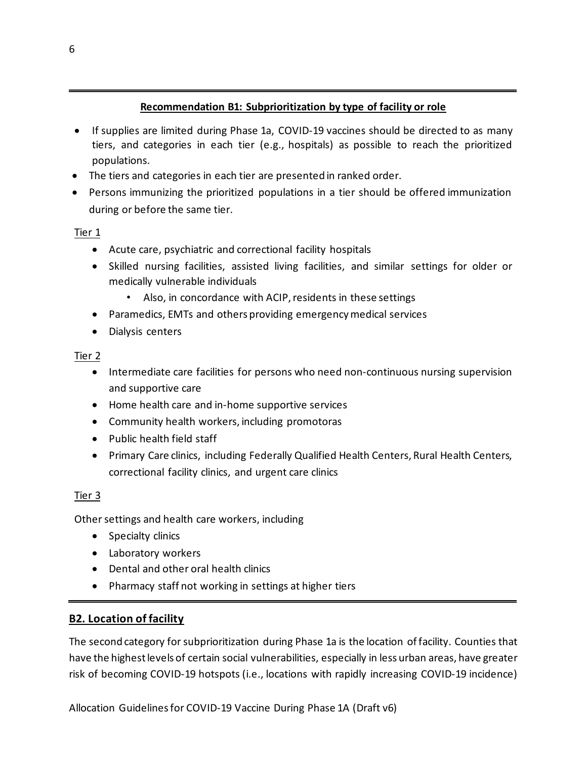#### **Recommendation B1: Subprioritization by type of facility or role**

- If supplies are limited during Phase 1a, COVID-19 vaccines should be directed to as many tiers, and categories in each tier (e.g., hospitals) as possible to reach the prioritized populations.
- The tiers and categories in each tier are presented in ranked order.
- Persons immunizing the prioritized populations in a tier should be offered immunization during or before the same tier.

#### Tier 1

- Acute care, psychiatric and correctional facility hospitals
- Skilled nursing facilities, assisted living facilities, and similar settings for older or medically vulnerable individuals
	- Also, in concordance with ACIP, residents in these settings
- Paramedics, EMTs and others providing emergency medical services
- Dialysis centers

#### Tier 2

- Intermediate care facilities for persons who need non-continuous nursing supervision and supportive care
- Home health care and in-home supportive services
- Community health workers, including promotoras
- Public health field staff
- Primary Care clinics, including Federally Qualified Health Centers, Rural Health Centers, correctional facility clinics, and urgent care clinics

## Tier 3

Other settings and health care workers, including

- Specialty clinics
- Laboratory workers
- Dental and other oral health clinics
- Pharmacy staff not working in settings at higher tiers

## **B2. Location of facility**

The second category for subprioritization during Phase 1a is the location of facility. Counties that have the highest levels of certain social vulnerabilities, especially in less urban areas, have greater risk of becoming COVID-19 hotspots (i.e., locations with rapidly increasing COVID-19 incidence)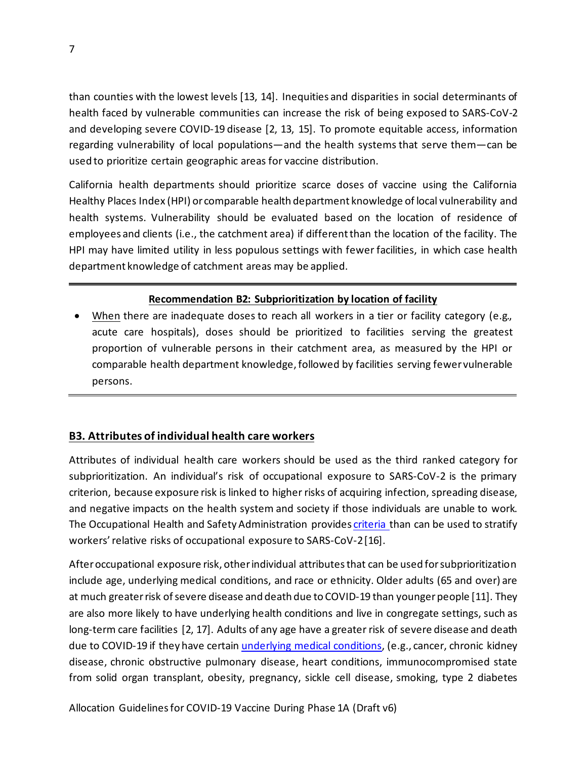than counties with the lowest levels [13, 14]. Inequities and disparities in social determinants of health faced by vulnerable communities can increase the risk of being exposed to SARS-CoV-2 and developing severe COVID-19 disease [2, 13, 15]. To promote equitable access, information regarding vulnerability of local populations—and the health systems that serve them—can be used to prioritize certain geographic areas for vaccine distribution.

California health departments should prioritize scarce doses of vaccine using the California Healthy Places Index (HPI) or comparable health department knowledge of local vulnerability and health systems. Vulnerability should be evaluated based on the location of residence of employees and clients (i.e., the catchment area) if different than the location of the facility. The HPI may have limited utility in less populous settings with fewer facilities, in which case health department knowledge of catchment areas may be applied.

## **Recommendation B2: Subprioritization by location of facility**

When there are inadequate doses to reach all workers in a tier or facility category (e.g., acute care hospitals), doses should be prioritized to facilities serving the greatest proportion of vulnerable persons in their catchment area, as measured by the HPI or comparable health department knowledge, followed by facilities serving fewer vulnerable persons.

## **B3. Attributes of individual health care workers**

Attributes of individual health care workers should be used as the third ranked category for subprioritization. An individual's risk of occupational exposure to SARS-CoV-2 is the primary criterion, because exposure risk is linked to higher risks of acquiring infection, spreading disease, and negative impacts on the health system and society if those individuals are unable to work. The Occupational Health and Safety Administration provide[s criteria t](https://www.osha.gov/Publications/OSHA3993.pdf)han can be used to stratify workers' relative risks of occupational exposure to SARS-CoV-2 [16].

After occupational exposure risk, other individual attributes that can be used for subprioritization include age, underlying medical conditions, and race or ethnicity. Older adults (65 and over) are at much greater risk of severe disease and death due to COVID-19 than younger people [11]. They are also more likely to have underlying health conditions and live in congregate settings, such as long-term care facilities [2, 17]. Adults of any age have a greater risk of severe disease and death due to COVID-19 if they have certain [underlying medical conditions,](https://www.cdc.gov/coronavirus/2019-ncov/need-extra-precautions/people-with-medical-conditions.html) (e.g., cancer, chronic kidney disease, chronic obstructive pulmonary disease, heart conditions, immunocompromised state from solid organ transplant, obesity, pregnancy, sickle cell disease, smoking, type 2 diabetes

Allocation Guidelines for COVID-19 Vaccine During Phase 1A (Draft v6)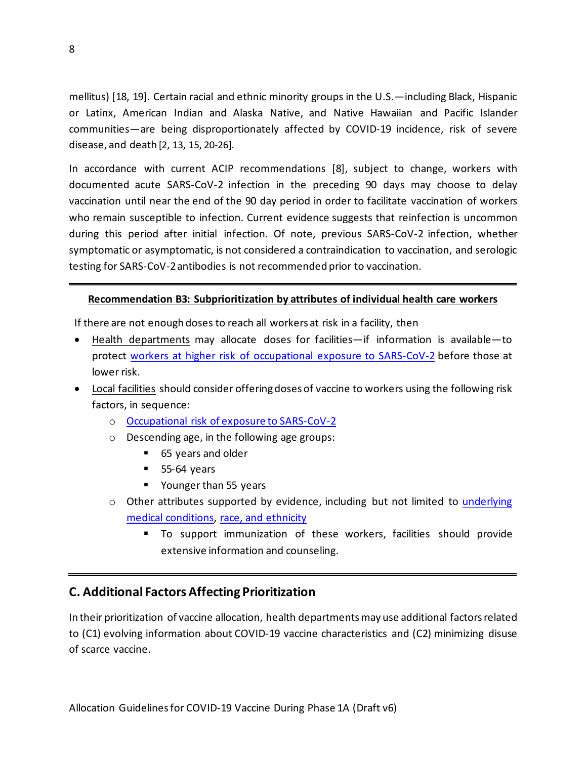mellitus) [18, 19]. Certain racial and ethnic minority groups in the U.S.—including Black, Hispanic or Latinx, American Indian and Alaska Native, and Native Hawaiian and Pacific Islander communities—are being disproportionately affected by COVID-19 incidence, risk of severe disease, and death [2, 13, 15, 20-26].

In accordance with current ACIP recommendations [8], subject to change, workers with documented acute SARS-CoV-2 infection in the preceding 90 days may choose to delay vaccination until near the end of the 90 day period in order to facilitate vaccination of workers who remain susceptible to infection. Current evidence suggests that reinfection is uncommon during this period after initial infection. Of note, previous SARS-CoV-2 infection, whether symptomatic or asymptomatic, is not considered a contraindication to vaccination, and serologic testing for SARS-CoV-2 antibodies is not recommended prior to vaccination.

#### **Recommendation B3: Subprioritization by attributes of individual health care workers**

If there are not enough doses to reach all workers at risk in a facility, then

- Health departments may allocate doses for facilities—if information is available—to protect [workers at higher risk of occupational exposure to SARS-CoV-2](https://www.osha.gov/Publications/OSHA3993.pdf) before those at lower risk.
- Local facilities should consider offering doses of vaccine to workers using the following risk factors, in sequence:
	- o [Occupational risk of exposure to SARS-CoV-2](https://www.osha.gov/Publications/OSHA3993.pdf)
	- o Descending age, in the following age groups:
		- 65 years and older
		- **55-64 years**
		- Younger than 55 years
	- o Other attributes supported by evidence, including but not limited to [underlying](https://www.cdc.gov/coronavirus/2019-ncov/need-extra-precautions/people-with-medical-conditions.html)  [medical conditions,](https://www.cdc.gov/coronavirus/2019-ncov/need-extra-precautions/people-with-medical-conditions.html) [race, and ethnicity](https://www.cdc.gov/coronavirus/2019-ncov/community/health-equity/race-ethnicity.html)
		- To support immunization of these workers, facilities should provide extensive information and counseling.

# **C. Additional Factors Affecting Prioritization**

In their prioritization of vaccine allocation, health departments may use additional factorsrelated to (C1) evolving information about COVID-19 vaccine characteristics and (C2) minimizing disuse of scarce vaccine.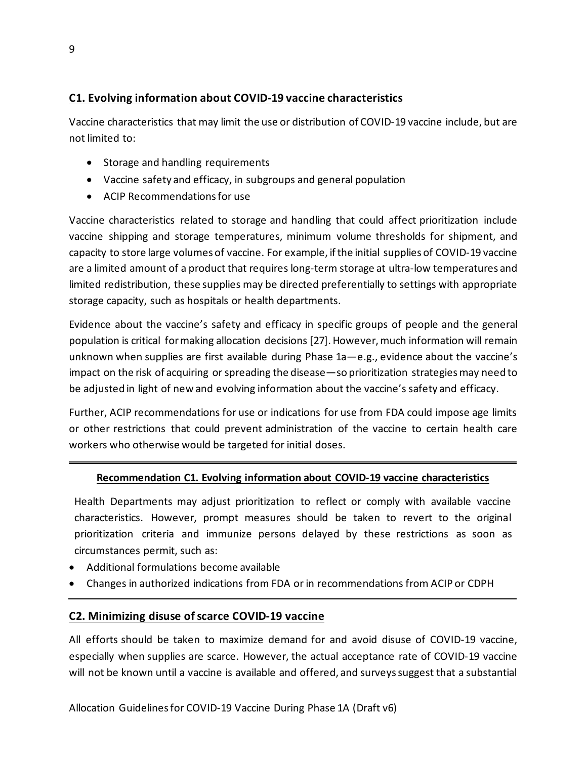## **C1. Evolving information about COVID-19 vaccine characteristics**

Vaccine characteristics that may limit the use or distribution of COVID-19 vaccine include, but are not limited to:

- Storage and handling requirements
- Vaccine safety and efficacy, in subgroups and general population
- ACIP Recommendationsfor use

Vaccine characteristics related to storage and handling that could affect prioritization include vaccine shipping and storage temperatures, minimum volume thresholds for shipment, and capacity to store large volumes of vaccine. For example, if the initial supplies of COVID-19 vaccine are a limited amount of a product that requires long-term storage at ultra-low temperatures and limited redistribution, these supplies may be directed preferentially to settings with appropriate storage capacity, such as hospitals or health departments.

Evidence about the vaccine's safety and efficacy in specific groups of people and the general population is critical for making allocation decisions [27]. However, much information will remain unknown when supplies are first available during Phase 1a—e.g., evidence about the vaccine's impact on the risk of acquiring or spreading the disease—so prioritization strategies may need to be adjusted in light of new and evolving information about the vaccine's safety and efficacy.

Further, ACIP recommendations for use or indications for use from FDA could impose age limits or other restrictions that could prevent administration of the vaccine to certain health care workers who otherwise would be targeted for initial doses.

## **Recommendation C1. Evolving information about COVID-19 vaccine characteristics**

Health Departments may adjust prioritization to reflect or comply with available vaccine characteristics. However, prompt measures should be taken to revert to the original prioritization criteria and immunize persons delayed by these restrictions as soon as circumstances permit, such as:

- Additional formulations become available
- Changes in authorized indications from FDA or in recommendations from ACIP or CDPH

## **C2. Minimizing disuse of scarce COVID-19 vaccine**

All efforts should be taken to maximize demand for and avoid disuse of COVID-19 vaccine, especially when supplies are scarce. However, the actual acceptance rate of COVID-19 vaccine will not be known until a vaccine is available and offered, and surveys suggest that a substantial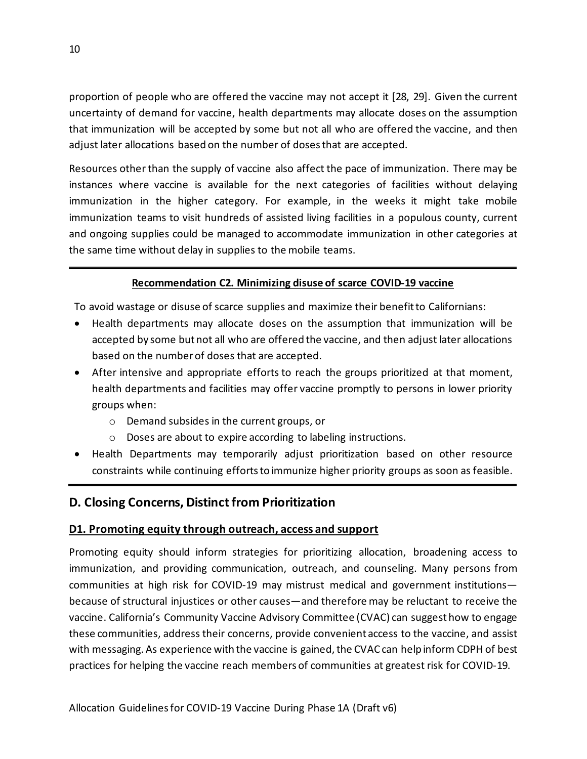proportion of people who are offered the vaccine may not accept it [28, 29]. Given the current uncertainty of demand for vaccine, health departments may allocate doses on the assumption that immunization will be accepted by some but not all who are offered the vaccine, and then adjust later allocations based on the number of dosesthat are accepted.

Resources other than the supply of vaccine also affect the pace of immunization. There may be instances where vaccine is available for the next categories of facilities without delaying immunization in the higher category. For example, in the weeks it might take mobile immunization teams to visit hundreds of assisted living facilities in a populous county, current and ongoing supplies could be managed to accommodate immunization in other categories at the same time without delay in supplies to the mobile teams.

## **Recommendation C2. Minimizing disuse of scarce COVID-19 vaccine**

To avoid wastage or disuse of scarce supplies and maximize their benefit to Californians:

- Health departments may allocate doses on the assumption that immunization will be accepted by some but not all who are offered the vaccine, and then adjust later allocations based on the number of doses that are accepted.
- After intensive and appropriate efforts to reach the groups prioritized at that moment, health departments and facilities may offer vaccine promptly to persons in lower priority groups when:
	- o Demand subsides in the current groups, or
	- o Doses are about to expire according to labeling instructions.
- Health Departments may temporarily adjust prioritization based on other resource constraints while continuing efforts to immunize higher priority groups as soon as feasible.

# **D. Closing Concerns, Distinct from Prioritization**

## **D1. Promoting equity through outreach, access and support**

Promoting equity should inform strategies for prioritizing allocation, broadening access to immunization, and providing communication, outreach, and counseling. Many persons from communities at high risk for COVID-19 may mistrust medical and government institutions because of structural injustices or other causes—and therefore may be reluctant to receive the vaccine. California's Community Vaccine Advisory Committee (CVAC) can suggest how to engage these communities, address their concerns, provide convenient access to the vaccine, and assist with messaging. As experience with the vaccine is gained, the CVAC can help inform CDPH of best practices for helping the vaccine reach members of communities at greatest risk for COVID-19.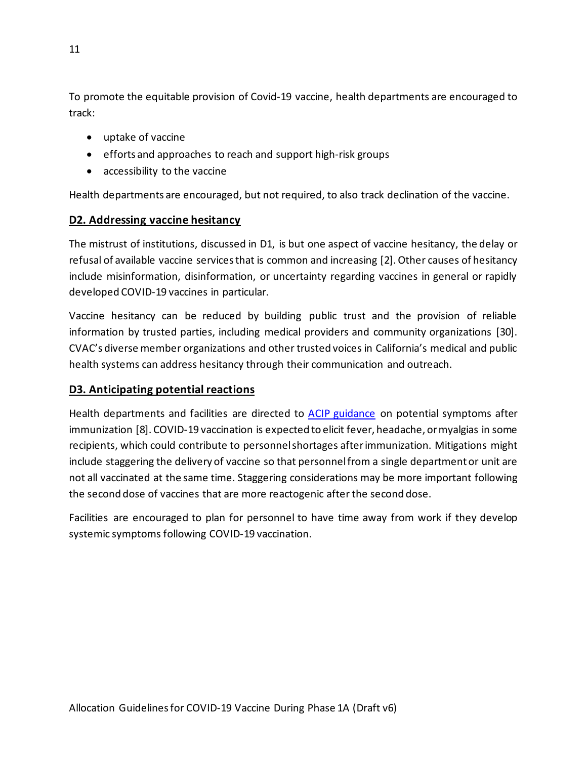To promote the equitable provision of Covid-19 vaccine, health departments are encouraged to track:

- uptake of vaccine
- efforts and approaches to reach and support high-risk groups
- accessibility to the vaccine

Health departments are encouraged, but not required, to also track declination of the vaccine.

## **D2. Addressing vaccine hesitancy**

The mistrust of institutions, discussed in D1, is but one aspect of vaccine hesitancy, the delay or refusal of available vaccine servicesthat is common and increasing [2]. Other causes of hesitancy include misinformation, disinformation, or uncertainty regarding vaccines in general or rapidly developed COVID-19 vaccines in particular.

Vaccine hesitancy can be reduced by building public trust and the provision of reliable information by trusted parties, including medical providers and community organizations [30]. CVAC's diverse member organizations and other trusted voices in California's medical and public health systems can address hesitancy through their communication and outreach.

## **D3. Anticipating potential reactions**

Health departments and facilities are directed to [ACIP guidance](https://www.cdc.gov/vaccines/hcp/acip-recs/vacc-specific/covid-19/clinical-considerations.html) on potential symptoms after immunization [8]. COVID-19 vaccination is expected to elicit fever, headache, or myalgias in some recipients, which could contribute to personnel shortages after immunization. Mitigations might include staggering the delivery of vaccine so that personnel from a single department or unit are not all vaccinated at the same time. Staggering considerations may be more important following the second dose of vaccines that are more reactogenic after the second dose.

Facilities are encouraged to plan for personnel to have time away from work if they develop systemic symptoms following COVID-19 vaccination.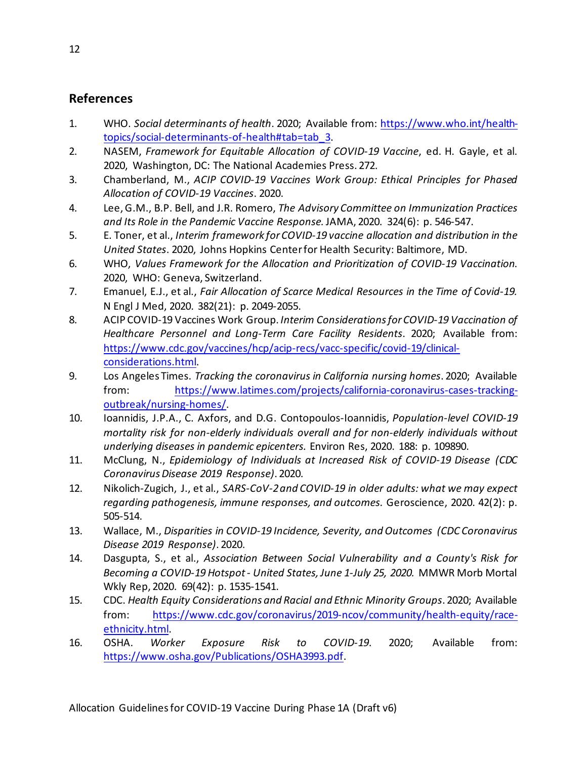# **References**

- 1. WHO. *Social determinants of health*. 2020; Available from: [https://www.who.int/health](https://www.who.int/health-topics/social-determinants-of-health#tab=tab_3)[topics/social-determinants-of-health#tab=tab\\_3.](https://www.who.int/health-topics/social-determinants-of-health#tab=tab_3)
- 2. NASEM, *Framework for Equitable Allocation of COVID-19 Vaccine*, ed. H. Gayle, et al. 2020, Washington, DC: The National Academies Press. 272.
- 3. Chamberland, M., *ACIP COVID-19 Vaccines Work Group: Ethical Principles for Phased Allocation of COVID-19 Vaccines*. 2020.
- 4. Lee, G.M., B.P. Bell, and J.R. Romero, *The Advisory Committee on Immunization Practices and Its Role in the Pandemic Vaccine Response.*JAMA, 2020. 324(6): p. 546-547.
- 5. E. Toner, et al., *Interim framework for COVID-19 vaccine allocation and distribution in the United States*. 2020, Johns Hopkins Center for Health Security: Baltimore, MD.
- 6. WHO, *Values Framework for the Allocation and Prioritization of COVID-19 Vaccination*. 2020, WHO: Geneva, Switzerland.
- 7. Emanuel, E.J., et al., *Fair Allocation of Scarce Medical Resources in the Time of Covid-19.* N Engl J Med, 2020. 382(21): p. 2049-2055.
- 8. ACIP COVID-19 Vaccines Work Group. *Interim Considerations for COVID-19 Vaccination of Healthcare Personnel and Long-Term Care Facility Residents*. 2020; Available from: [https://www.cdc.gov/vaccines/hcp/acip-recs/vacc-specific/covid-19/clinical](https://www.cdc.gov/vaccines/hcp/acip-recs/vacc-specific/covid-19/clinical-considerations.html)[considerations.html.](https://www.cdc.gov/vaccines/hcp/acip-recs/vacc-specific/covid-19/clinical-considerations.html)
- 9. Los Angeles Times. *Tracking the coronavirus in California nursing homes*. 2020; Available from: [https://www.latimes.com/projects/california-coronavirus-cases-tracking](https://www.latimes.com/projects/california-coronavirus-cases-tracking-outbreak/nursing-homes/)[outbreak/nursing-homes/.](https://www.latimes.com/projects/california-coronavirus-cases-tracking-outbreak/nursing-homes/)
- 10. Ioannidis, J.P.A., C. Axfors, and D.G. Contopoulos-Ioannidis, *Population-level COVID-19 mortality risk for non-elderly individuals overall and for non-elderly individuals without underlying diseases in pandemic epicenters.* Environ Res, 2020. 188: p. 109890.
- 11. McClung, N., *Epidemiology of Individuals at Increased Risk of COVID-19 Disease (CDC Coronavirus Disease 2019 Response)*. 2020.
- 12. Nikolich-Zugich, J., et al., *SARS-CoV-2 and COVID-19 in older adults: what we may expect regarding pathogenesis, immune responses, and outcomes.* Geroscience, 2020. 42(2): p. 505-514.
- 13. Wallace, M., *Disparities in COVID-19 Incidence, Severity, and Outcomes (CDC Coronavirus Disease 2019 Response)*. 2020.
- 14. Dasgupta, S., et al., *Association Between Social Vulnerability and a County's Risk for Becoming a COVID-19 Hotspot - United States, June 1-July 25, 2020.* MMWR Morb Mortal Wkly Rep, 2020. 69(42): p. 1535-1541.
- 15. CDC. *Health Equity Considerations and Racial and Ethnic Minority Groups*. 2020; Available from: [https://www.cdc.gov/coronavirus/2019-ncov/community/health-equity/race](https://www.cdc.gov/coronavirus/2019-ncov/community/health-equity/race-ethnicity.html)[ethnicity.html.](https://www.cdc.gov/coronavirus/2019-ncov/community/health-equity/race-ethnicity.html)
- 16. OSHA. *Worker Exposure Risk to COVID-19*. 2020; Available from: [https://www.osha.gov/Publications/OSHA3993.pdf.](https://www.osha.gov/Publications/OSHA3993.pdf)